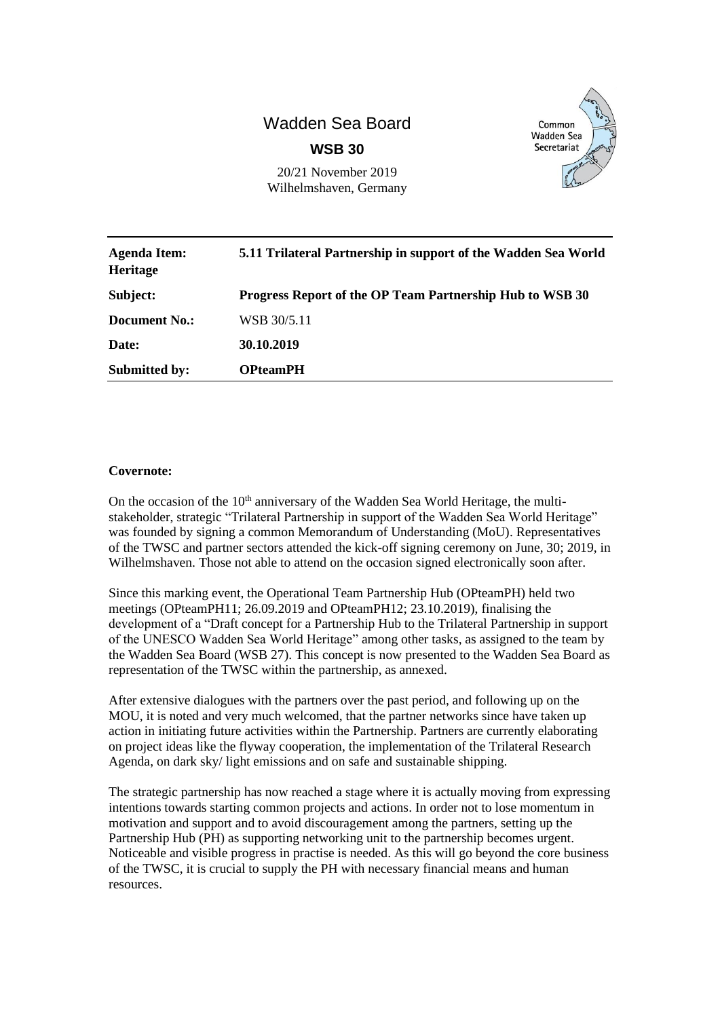# Wadden Sea Board **WSB 30**



20/21 November 2019 Wilhelmshaven, Germany

| <b>Agenda Item:</b><br>Heritage | 5.11 Trilateral Partnership in support of the Wadden Sea World |
|---------------------------------|----------------------------------------------------------------|
| Subject:                        | Progress Report of the OP Team Partnership Hub to WSB 30       |
| Document No.:                   | WSB 30/5.11                                                    |
| Date:                           | 30.10.2019                                                     |
| <b>Submitted by:</b>            | <b>OPteamPH</b>                                                |

#### **Covernote:**

On the occasion of the  $10<sup>th</sup>$  anniversary of the Wadden Sea World Heritage, the multistakeholder, strategic "Trilateral Partnership in support of the Wadden Sea World Heritage" was founded by signing a common Memorandum of Understanding (MoU). Representatives of the TWSC and partner sectors attended the kick-off signing ceremony on June, 30; 2019, in Wilhelmshaven. Those not able to attend on the occasion signed electronically soon after.

Since this marking event, the Operational Team Partnership Hub (OPteamPH) held two meetings (OPteamPH11; 26.09.2019 and OPteamPH12; 23.10.2019), finalising the development of a "Draft concept for a Partnership Hub to the Trilateral Partnership in support of the UNESCO Wadden Sea World Heritage" among other tasks, as assigned to the team by the Wadden Sea Board (WSB 27). This concept is now presented to the Wadden Sea Board as representation of the TWSC within the partnership, as annexed.

After extensive dialogues with the partners over the past period, and following up on the MOU, it is noted and very much welcomed, that the partner networks since have taken up action in initiating future activities within the Partnership. Partners are currently elaborating on project ideas like the flyway cooperation, the implementation of the Trilateral Research Agenda, on dark sky/ light emissions and on safe and sustainable shipping.

The strategic partnership has now reached a stage where it is actually moving from expressing intentions towards starting common projects and actions. In order not to lose momentum in motivation and support and to avoid discouragement among the partners, setting up the Partnership Hub (PH) as supporting networking unit to the partnership becomes urgent. Noticeable and visible progress in practise is needed. As this will go beyond the core business of the TWSC, it is crucial to supply the PH with necessary financial means and human resources.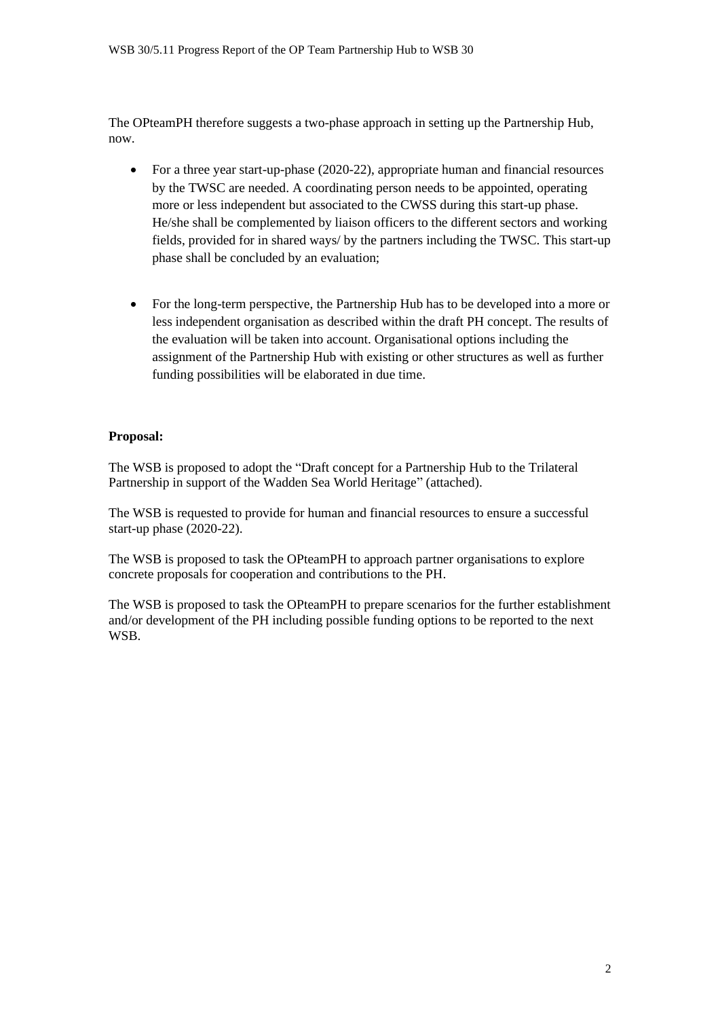The OPteamPH therefore suggests a two-phase approach in setting up the Partnership Hub, now.

- For a three year start-up-phase (2020-22), appropriate human and financial resources by the TWSC are needed. A coordinating person needs to be appointed, operating more or less independent but associated to the CWSS during this start-up phase. He/she shall be complemented by liaison officers to the different sectors and working fields, provided for in shared ways/ by the partners including the TWSC. This start-up phase shall be concluded by an evaluation;
- For the long-term perspective, the Partnership Hub has to be developed into a more or less independent organisation as described within the draft PH concept. The results of the evaluation will be taken into account. Organisational options including the assignment of the Partnership Hub with existing or other structures as well as further funding possibilities will be elaborated in due time.

#### **Proposal:**

The WSB is proposed to adopt the "Draft concept for a Partnership Hub to the Trilateral Partnership in support of the Wadden Sea World Heritage" (attached).

The WSB is requested to provide for human and financial resources to ensure a successful start-up phase (2020-22).

The WSB is proposed to task the OPteamPH to approach partner organisations to explore concrete proposals for cooperation and contributions to the PH.

The WSB is proposed to task the OPteamPH to prepare scenarios for the further establishment and/or development of the PH including possible funding options to be reported to the next WSB.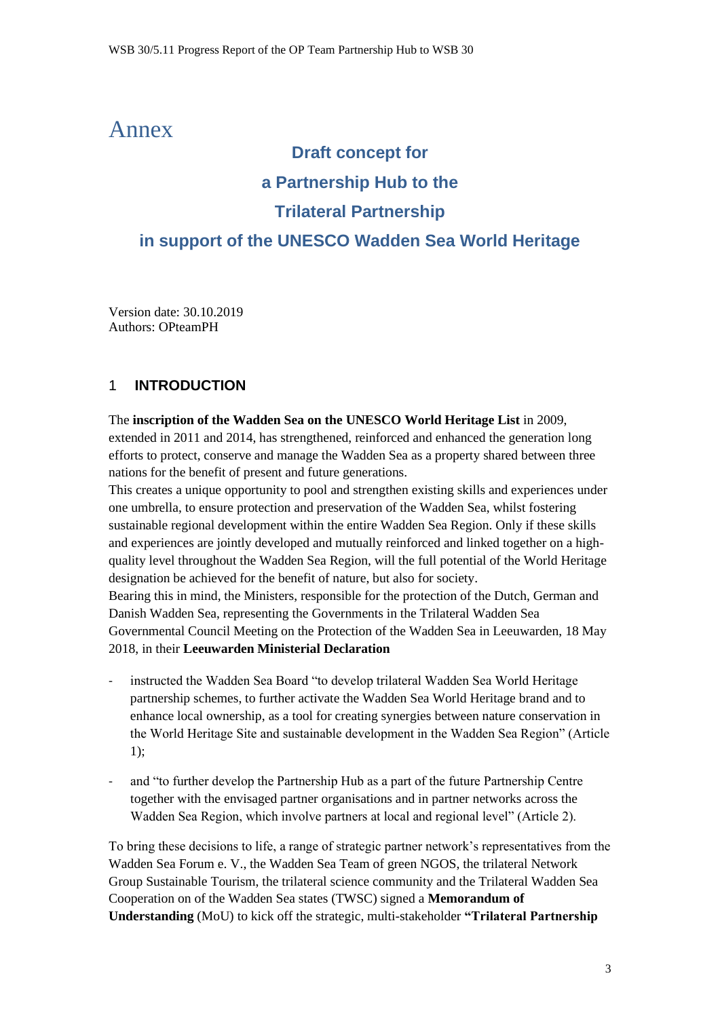## Annex

# **Draft concept for a Partnership Hub to the Trilateral Partnership in support of the UNESCO Wadden Sea World Heritage**

Version date: 30.10.2019 Authors: OPteamPH

## 1 **INTRODUCTION**

The **inscription of the Wadden Sea on the UNESCO World Heritage List** in 2009, extended in 2011 and 2014, has strengthened, reinforced and enhanced the generation long efforts to protect, conserve and manage the Wadden Sea as a property shared between three nations for the benefit of present and future generations.

This creates a unique opportunity to pool and strengthen existing skills and experiences under one umbrella, to ensure protection and preservation of the Wadden Sea, whilst fostering sustainable regional development within the entire Wadden Sea Region. Only if these skills and experiences are jointly developed and mutually reinforced and linked together on a highquality level throughout the Wadden Sea Region, will the full potential of the World Heritage designation be achieved for the benefit of nature, but also for society. Bearing this in mind, the Ministers, responsible for the protection of the Dutch, German and Danish Wadden Sea, representing the Governments in the Trilateral Wadden Sea Governmental Council Meeting on the Protection of the Wadden Sea in Leeuwarden, 18 May 2018, in their **Leeuwarden Ministerial Declaration**

- instructed the Wadden Sea Board "to develop trilateral Wadden Sea World Heritage partnership schemes, to further activate the Wadden Sea World Heritage brand and to enhance local ownership, as a tool for creating synergies between nature conservation in the World Heritage Site and sustainable development in the Wadden Sea Region" (Article 1);
- and "to further develop the Partnership Hub as a part of the future Partnership Centre together with the envisaged partner organisations and in partner networks across the Wadden Sea Region, which involve partners at local and regional level" (Article 2).

To bring these decisions to life, a range of strategic partner network's representatives from the Wadden Sea Forum e. V., the Wadden Sea Team of green NGOS, the trilateral Network Group Sustainable Tourism, the trilateral science community and the Trilateral Wadden Sea Cooperation on of the Wadden Sea states (TWSC) signed a **Memorandum of Understanding** (MoU) to kick off the strategic, multi-stakeholder **"Trilateral Partnership**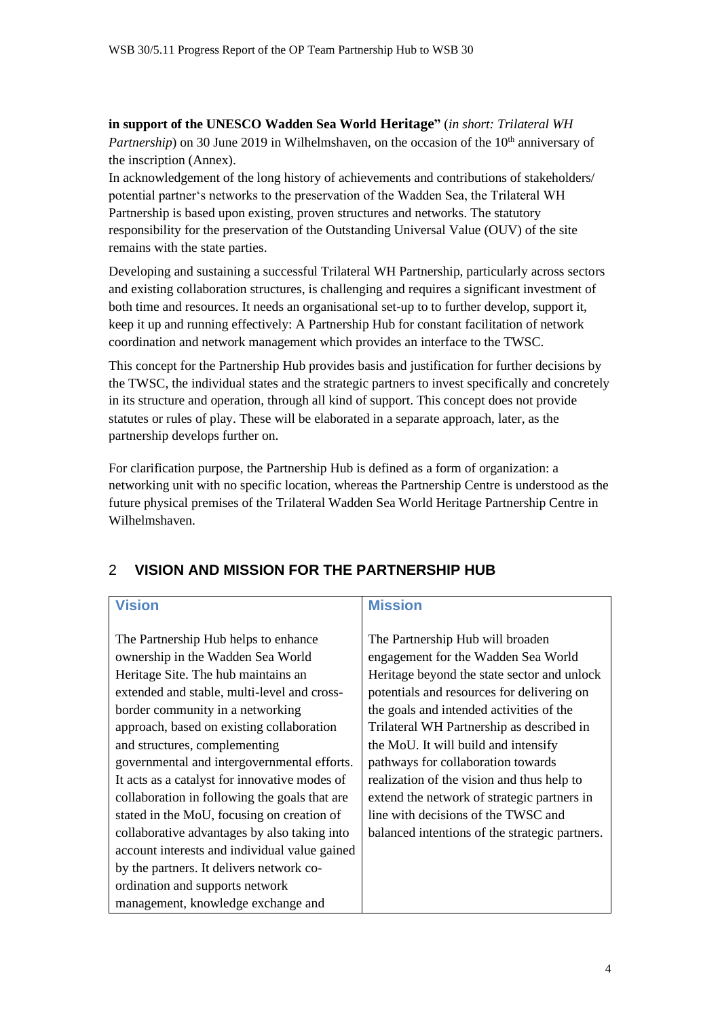**in support of the UNESCO Wadden Sea World Heritage"** (*in short: Trilateral WH Partnership*) on 30 June 2019 in Wilhelmshaven, on the occasion of the 10<sup>th</sup> anniversary of the inscription (Annex).

In acknowledgement of the long history of achievements and contributions of stakeholders/ potential partner's networks to the preservation of the Wadden Sea, the Trilateral WH Partnership is based upon existing, proven structures and networks. The statutory responsibility for the preservation of the Outstanding Universal Value (OUV) of the site remains with the state parties.

Developing and sustaining a successful Trilateral WH Partnership, particularly across sectors and existing collaboration structures, is challenging and requires a significant investment of both time and resources. It needs an organisational set-up to to further develop, support it, keep it up and running effectively: A Partnership Hub for constant facilitation of network coordination and network management which provides an interface to the TWSC.

This concept for the Partnership Hub provides basis and justification for further decisions by the TWSC, the individual states and the strategic partners to invest specifically and concretely in its structure and operation, through all kind of support. This concept does not provide statutes or rules of play. These will be elaborated in a separate approach, later, as the partnership develops further on.

For clarification purpose, the Partnership Hub is defined as a form of organization: a networking unit with no specific location, whereas the Partnership Centre is understood as the future physical premises of the Trilateral Wadden Sea World Heritage Partnership Centre in Wilhelmshaven.

#### **Vision Mission** The Partnership Hub helps to enhance ownership in the Wadden Sea World Heritage Site. The hub maintains an extended and stable, multi-level and crossborder community in a networking approach, based on existing collaboration and structures, complementing governmental and intergovernmental efforts. It acts as a catalyst for innovative modes of collaboration in following the goals that are stated in the MoU, focusing on creation of collaborative advantages by also taking into account interests and individual value gained by the partners. It delivers network coordination and supports network management, knowledge exchange and The Partnership Hub will broaden engagement for the Wadden Sea World Heritage beyond the state sector and unlock potentials and resources for delivering on the goals and intended activities of the Trilateral WH Partnership as described in the MoU. It will build and intensify pathways for collaboration towards realization of the vision and thus help to extend the network of strategic partners in line with decisions of the TWSC and balanced intentions of the strategic partners.

## 2 **VISION AND MISSION FOR THE PARTNERSHIP HUB**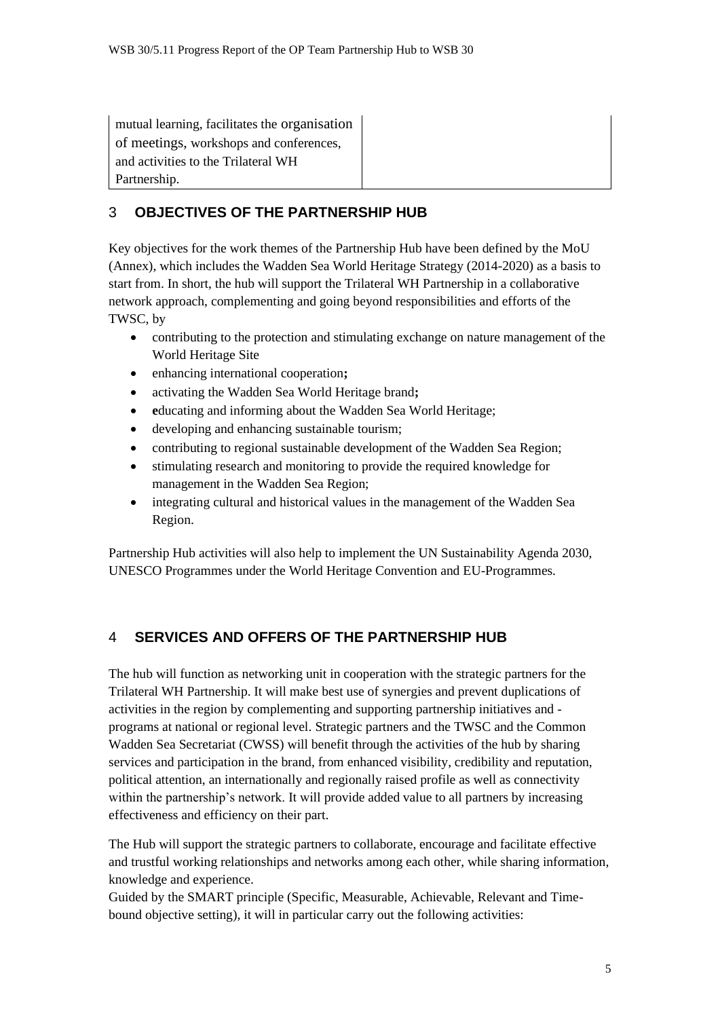mutual learning, facilitates the organisation of meetings, workshops and conferences, and activities to the Trilateral WH Partnership.

## 3 **OBJECTIVES OF THE PARTNERSHIP HUB**

Key objectives for the work themes of the Partnership Hub have been defined by the MoU (Annex), which includes the Wadden Sea World Heritage Strategy (2014-2020) as a basis to start from. In short, the hub will support the Trilateral WH Partnership in a collaborative network approach, complementing and going beyond responsibilities and efforts of the TWSC, by

- contributing to the protection and stimulating exchange on nature management of the World Heritage Site
- enhancing international cooperation**;**
- activating the Wadden Sea World Heritage brand**;**
- **e**ducating and informing about the Wadden Sea World Heritage;
- developing and enhancing sustainable tourism;
- contributing to regional sustainable development of the Wadden Sea Region;
- stimulating research and monitoring to provide the required knowledge for management in the Wadden Sea Region;
- integrating cultural and historical values in the management of the Wadden Sea Region.

Partnership Hub activities will also help to implement the UN Sustainability Agenda 2030, UNESCO Programmes under the World Heritage Convention and EU-Programmes.

## 4 **SERVICES AND OFFERS OF THE PARTNERSHIP HUB**

The hub will function as networking unit in cooperation with the strategic partners for the Trilateral WH Partnership. It will make best use of synergies and prevent duplications of activities in the region by complementing and supporting partnership initiatives and programs at national or regional level. Strategic partners and the TWSC and the Common Wadden Sea Secretariat (CWSS) will benefit through the activities of the hub by sharing services and participation in the brand, from enhanced visibility, credibility and reputation, political attention, an internationally and regionally raised profile as well as connectivity within the partnership's network. It will provide added value to all partners by increasing effectiveness and efficiency on their part.

The Hub will support the strategic partners to collaborate, encourage and facilitate effective and trustful working relationships and networks among each other, while sharing information, knowledge and experience.

Guided by the SMART principle (Specific, Measurable, Achievable, Relevant and Timebound objective setting), it will in particular carry out the following activities: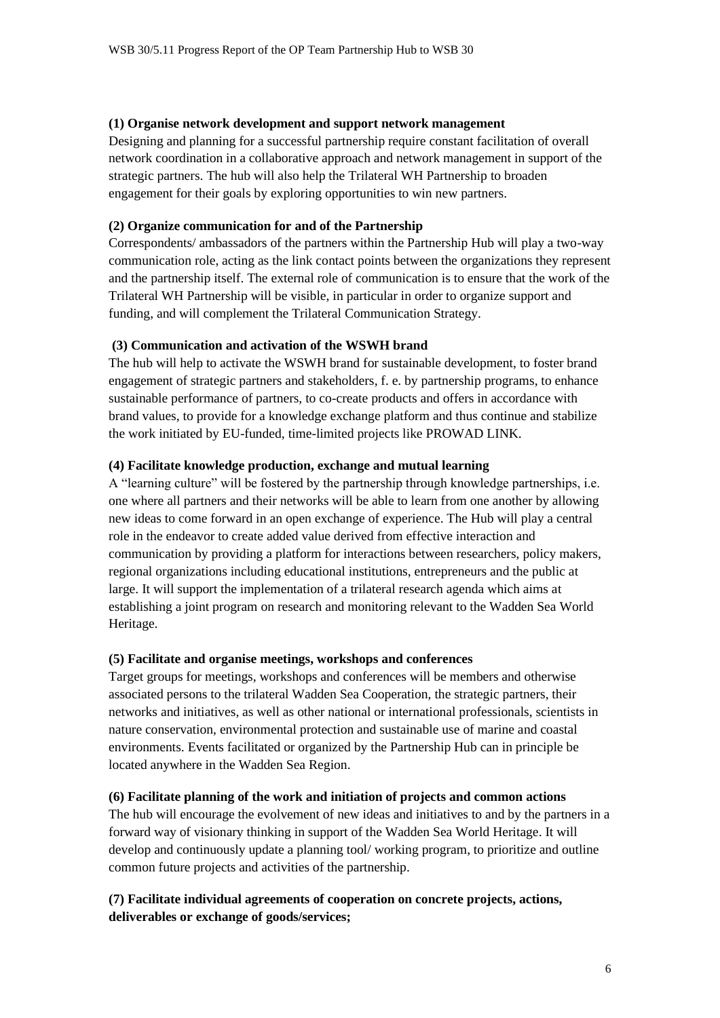#### **(1) Organise network development and support network management**

Designing and planning for a successful partnership require constant facilitation of overall network coordination in a collaborative approach and network management in support of the strategic partners. The hub will also help the Trilateral WH Partnership to broaden engagement for their goals by exploring opportunities to win new partners.

#### **(2) Organize communication for and of the Partnership**

Correspondents/ ambassadors of the partners within the Partnership Hub will play a two-way communication role, acting as the link contact points between the organizations they represent and the partnership itself. The external role of communication is to ensure that the work of the Trilateral WH Partnership will be visible, in particular in order to organize support and funding, and will complement the Trilateral Communication Strategy.

#### **(3) Communication and activation of the WSWH brand**

The hub will help to activate the WSWH brand for sustainable development, to foster brand engagement of strategic partners and stakeholders, f. e. by partnership programs, to enhance sustainable performance of partners, to co-create products and offers in accordance with brand values, to provide for a knowledge exchange platform and thus continue and stabilize the work initiated by EU-funded, time-limited projects like PROWAD LINK.

#### **(4) Facilitate knowledge production, exchange and mutual learning**

A "learning culture" will be fostered by the partnership through knowledge partnerships, i.e. one where all partners and their networks will be able to learn from one another by allowing new ideas to come forward in an open exchange of experience. The Hub will play a central role in the endeavor to create added value derived from effective interaction and communication by providing a platform for interactions between researchers, policy makers, regional organizations including educational institutions, entrepreneurs and the public at large. It will support the implementation of a trilateral research agenda which aims at establishing a joint program on research and monitoring relevant to the Wadden Sea World Heritage.

#### **(5) Facilitate and organise meetings, workshops and conferences**

Target groups for meetings, workshops and conferences will be members and otherwise associated persons to the trilateral Wadden Sea Cooperation, the strategic partners, their networks and initiatives, as well as other national or international professionals, scientists in nature conservation, environmental protection and sustainable use of marine and coastal environments. Events facilitated or organized by the Partnership Hub can in principle be located anywhere in the Wadden Sea Region.

#### **(6) Facilitate planning of the work and initiation of projects and common actions**

The hub will encourage the evolvement of new ideas and initiatives to and by the partners in a forward way of visionary thinking in support of the Wadden Sea World Heritage. It will develop and continuously update a planning tool/ working program, to prioritize and outline common future projects and activities of the partnership.

## **(7) Facilitate individual agreements of cooperation on concrete projects, actions, deliverables or exchange of goods/services;**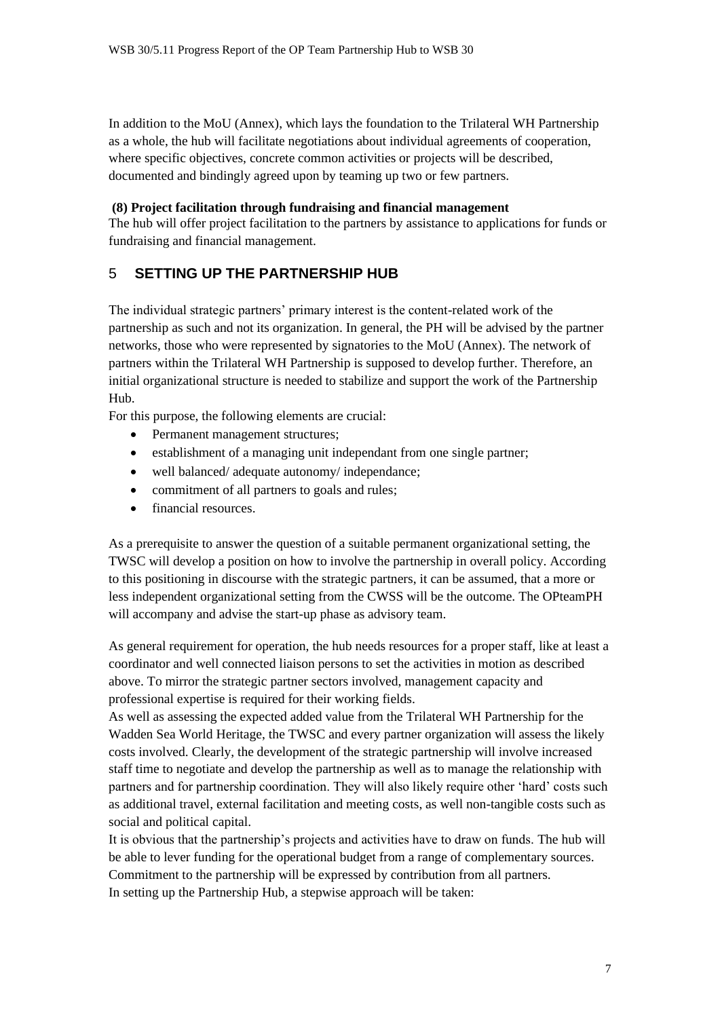In addition to the MoU (Annex), which lays the foundation to the Trilateral WH Partnership as a whole, the hub will facilitate negotiations about individual agreements of cooperation, where specific objectives, concrete common activities or projects will be described, documented and bindingly agreed upon by teaming up two or few partners.

#### **(8) Project facilitation through fundraising and financial management**

The hub will offer project facilitation to the partners by assistance to applications for funds or fundraising and financial management.

## 5 **SETTING UP THE PARTNERSHIP HUB**

The individual strategic partners' primary interest is the content-related work of the partnership as such and not its organization. In general, the PH will be advised by the partner networks, those who were represented by signatories to the MoU (Annex). The network of partners within the Trilateral WH Partnership is supposed to develop further. Therefore, an initial organizational structure is needed to stabilize and support the work of the Partnership Hub.

For this purpose, the following elements are crucial:

- Permanent management structures;
- establishment of a managing unit independant from one single partner;
- well balanced/adequate autonomy/independance;
- commitment of all partners to goals and rules;
- financial resources.

As a prerequisite to answer the question of a suitable permanent organizational setting, the TWSC will develop a position on how to involve the partnership in overall policy. According to this positioning in discourse with the strategic partners, it can be assumed, that a more or less independent organizational setting from the CWSS will be the outcome. The OPteamPH will accompany and advise the start-up phase as advisory team.

As general requirement for operation, the hub needs resources for a proper staff, like at least a coordinator and well connected liaison persons to set the activities in motion as described above. To mirror the strategic partner sectors involved, management capacity and professional expertise is required for their working fields.

As well as assessing the expected added value from the Trilateral WH Partnership for the Wadden Sea World Heritage, the TWSC and every partner organization will assess the likely costs involved. Clearly, the development of the strategic partnership will involve increased staff time to negotiate and develop the partnership as well as to manage the relationship with partners and for partnership coordination. They will also likely require other 'hard' costs such as additional travel, external facilitation and meeting costs, as well non-tangible costs such as social and political capital.

It is obvious that the partnership's projects and activities have to draw on funds. The hub will be able to lever funding for the operational budget from a range of complementary sources. Commitment to the partnership will be expressed by contribution from all partners. In setting up the Partnership Hub, a stepwise approach will be taken: